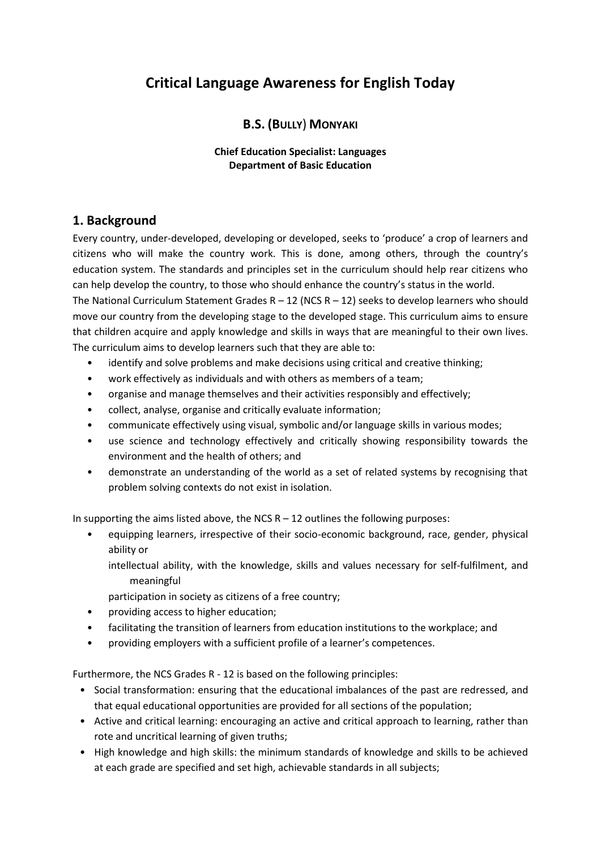# **Critical Language Awareness for English Today**

# **B.S. (BULLY**) **MONYAKI**

#### **Chief Education Specialist: Languages Department of Basic Education**

# **1. Background**

Every country, under-developed, developing or developed, seeks to 'produce' a crop of learners and citizens who will make the country work. This is done, among others, through the country's education system. The standards and principles set in the curriculum should help rear citizens who can help develop the country, to those who should enhance the country's status in the world.

The National Curriculum Statement Grades  $R - 12$  (NCS  $R - 12$ ) seeks to develop learners who should move our country from the developing stage to the developed stage. This curriculum aims to ensure that children acquire and apply knowledge and skills in ways that are meaningful to their own lives. The curriculum aims to develop learners such that they are able to:

- identify and solve problems and make decisions using critical and creative thinking;
- work effectively as individuals and with others as members of a team;
- organise and manage themselves and their activities responsibly and effectively;
- collect, analyse, organise and critically evaluate information;
- communicate effectively using visual, symbolic and/or language skills in various modes;
- use science and technology effectively and critically showing responsibility towards the environment and the health of others; and
- demonstrate an understanding of the world as a set of related systems by recognising that problem solving contexts do not exist in isolation.

In supporting the aims listed above, the NCS  $R - 12$  outlines the following purposes:

• equipping learners, irrespective of their socio-economic background, race, gender, physical ability or

intellectual ability, with the knowledge, skills and values necessary for self-fulfilment, and meaningful

participation in society as citizens of a free country;

- providing access to higher education;
- facilitating the transition of learners from education institutions to the workplace; and
- providing employers with a sufficient profile of a learner's competences.

Furthermore, the NCS Grades R - 12 is based on the following principles:

- Social transformation: ensuring that the educational imbalances of the past are redressed, and that equal educational opportunities are provided for all sections of the population;
- Active and critical learning: encouraging an active and critical approach to learning, rather than rote and uncritical learning of given truths;
- High knowledge and high skills: the minimum standards of knowledge and skills to be achieved at each grade are specified and set high, achievable standards in all subjects;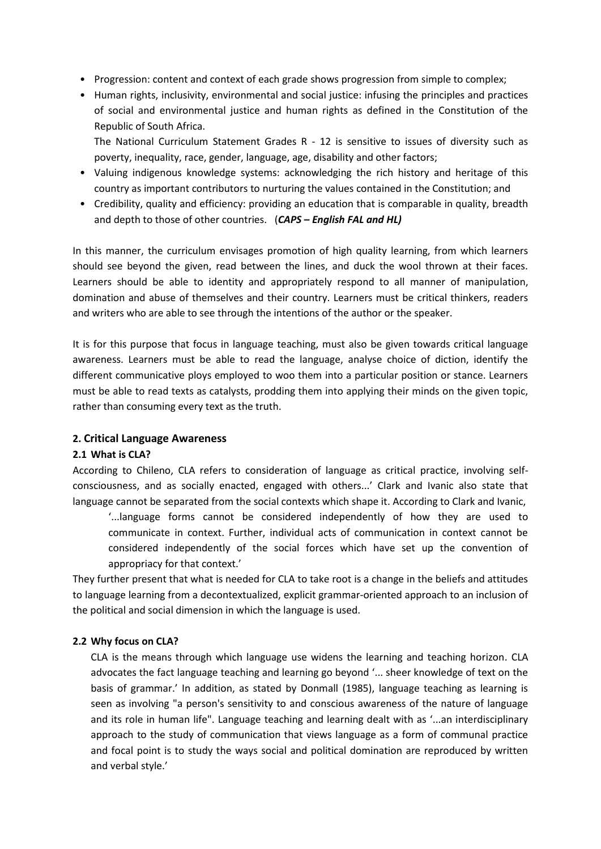- Progression: content and context of each grade shows progression from simple to complex;
- Human rights, inclusivity, environmental and social justice: infusing the principles and practices of social and environmental justice and human rights as defined in the Constitution of the Republic of South Africa.

The National Curriculum Statement Grades R - 12 is sensitive to issues of diversity such as poverty, inequality, race, gender, language, age, disability and other factors;

- Valuing indigenous knowledge systems: acknowledging the rich history and heritage of this country as important contributors to nurturing the values contained in the Constitution; and
- Credibility, quality and efficiency: providing an education that is comparable in quality, breadth and depth to those of other countries. (*CAPS – English FAL and HL)*

In this manner, the curriculum envisages promotion of high quality learning, from which learners should see beyond the given, read between the lines, and duck the wool thrown at their faces. Learners should be able to identity and appropriately respond to all manner of manipulation, domination and abuse of themselves and their country. Learners must be critical thinkers, readers and writers who are able to see through the intentions of the author or the speaker.

It is for this purpose that focus in language teaching, must also be given towards critical language awareness. Learners must be able to read the language, analyse choice of diction, identify the different communicative ploys employed to woo them into a particular position or stance. Learners must be able to read texts as catalysts, prodding them into applying their minds on the given topic, rather than consuming every text as the truth.

### **2. Critical Language Awareness**

#### **2.1 What is CLA?**

According to Chileno, CLA refers to consideration of language as critical practice, involving selfconsciousness, and as socially enacted, engaged with others...' Clark and Ivanic also state that language cannot be separated from the social contexts which shape it. According to Clark and Ivanic,

'...language forms cannot be considered independently of how they are used to communicate in context. Further, individual acts of communication in context cannot be considered independently of the social forces which have set up the convention of appropriacy for that context.'

They further present that what is needed for CLA to take root is a change in the beliefs and attitudes to language learning from a decontextualized, explicit grammar-oriented approach to an inclusion of the political and social dimension in which the language is used.

#### **2.2 Why focus on CLA?**

CLA is the means through which language use widens the learning and teaching horizon. CLA advocates the fact language teaching and learning go beyond '... sheer knowledge of text on the basis of grammar.' In addition, as stated by Donmall (1985), language teaching as learning is seen as involving "a person's sensitivity to and conscious awareness of the nature of language and its role in human life". Language teaching and learning dealt with as '...an interdisciplinary approach to the study of communication that views language as a form of communal practice and focal point is to study the ways social and political domination are reproduced by written and verbal style.'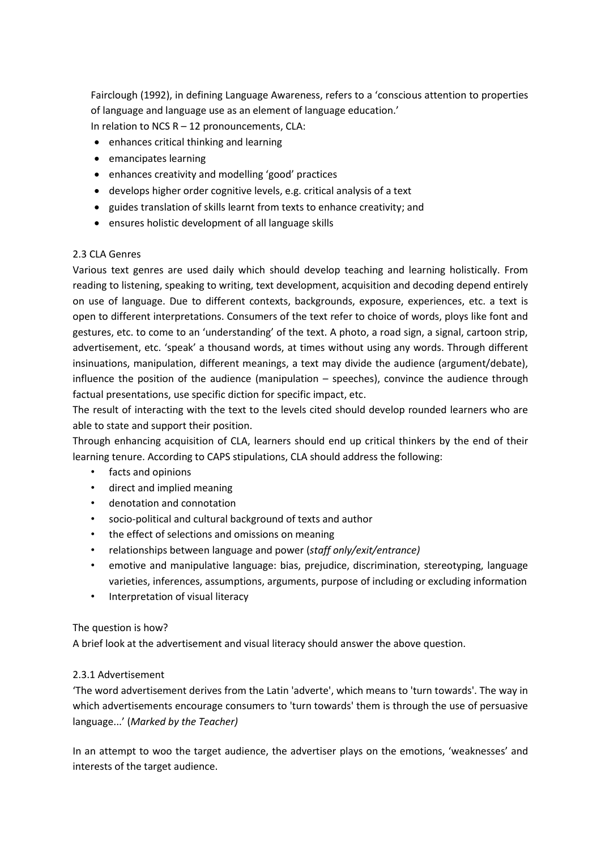Fairclough (1992), in defining Language Awareness, refers to a 'conscious attention to properties of language and language use as an element of language education.'

In relation to NCS  $R - 12$  pronouncements, CLA:

- enhances critical thinking and learning
- emancipates learning
- enhances creativity and modelling 'good' practices
- develops higher order cognitive levels, e.g. critical analysis of a text
- guides translation of skills learnt from texts to enhance creativity; and
- ensures holistic development of all language skills

#### 2.3 CLA Genres

Various text genres are used daily which should develop teaching and learning holistically. From reading to listening, speaking to writing, text development, acquisition and decoding depend entirely on use of language. Due to different contexts, backgrounds, exposure, experiences, etc. a text is open to different interpretations. Consumers of the text refer to choice of words, ploys like font and gestures, etc. to come to an 'understanding' of the text. A photo, a road sign, a signal, cartoon strip, advertisement, etc. 'speak' a thousand words, at times without using any words. Through different insinuations, manipulation, different meanings, a text may divide the audience (argument/debate), influence the position of the audience (manipulation – speeches), convince the audience through factual presentations, use specific diction for specific impact, etc.

The result of interacting with the text to the levels cited should develop rounded learners who are able to state and support their position.

Through enhancing acquisition of CLA, learners should end up critical thinkers by the end of their learning tenure. According to CAPS stipulations, CLA should address the following:

- facts and opinions
- direct and implied meaning
- denotation and connotation
- socio-political and cultural background of texts and author
- the effect of selections and omissions on meaning
- relationships between language and power (*staff only/exit/entrance)*
- emotive and manipulative language: bias, prejudice, discrimination, stereotyping, language varieties, inferences, assumptions, arguments, purpose of including or excluding information
- Interpretation of visual literacy

### The question is how?

A brief look at the advertisement and visual literacy should answer the above question.

### 2.3.1 Advertisement

'The word advertisement derives from the Latin 'adverte', which means to 'turn towards'. The way in which advertisements encourage consumers to 'turn towards' them is through the use of persuasive language...' (*Marked by the Teacher)*

In an attempt to woo the target audience, the advertiser plays on the emotions, 'weaknesses' and interests of the target audience.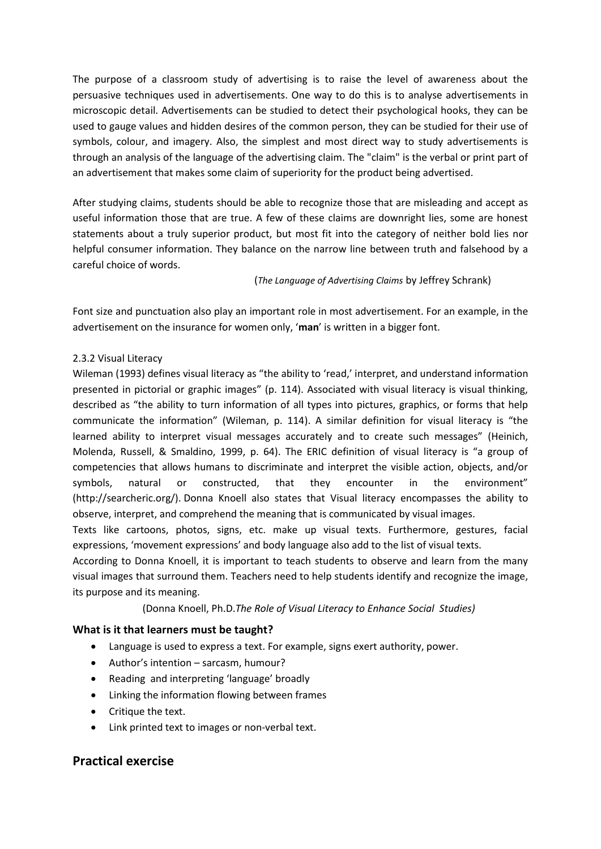The purpose of a classroom study of advertising is to raise the level of awareness about the persuasive techniques used in advertisements. One way to do this is to analyse advertisements in microscopic detail. Advertisements can be studied to detect their psychological hooks, they can be used to gauge values and hidden desires of the common person, they can be studied for their use of symbols, colour, and imagery. Also, the simplest and most direct way to study advertisements is through an analysis of the language of the advertising claim. The "claim" is the verbal or print part of an advertisement that makes some claim of superiority for the product being advertised.

After studying claims, students should be able to recognize those that are misleading and accept as useful information those that are true. A few of these claims are downright lies, some are honest statements about a truly superior product, but most fit into the category of neither bold lies nor helpful consumer information. They balance on the narrow line between truth and falsehood by a careful choice of words.

(*The Language of Advertising Claims* by Jeffrey Schrank)

Font size and punctuation also play an important role in most advertisement. For an example, in the advertisement on the insurance for women only, '**man**' is written in a bigger font.

## 2.3.2 Visual Literacy

Wileman (1993) defines visual literacy as "the ability to 'read,' interpret, and understand information presented in pictorial or graphic images" (p. 114). Associated with visual literacy is visual thinking, described as "the ability to turn information of all types into pictures, graphics, or forms that help communicate the information" (Wileman, p. 114). A similar definition for visual literacy is "the learned ability to interpret visual messages accurately and to create such messages" (Heinich, Molenda, Russell, & Smaldino, 1999, p. 64). The ERIC definition of visual literacy is "a group of competencies that allows humans to discriminate and interpret the visible action, objects, and/or symbols, natural or constructed, that they encounter in the environment" (http://searcheric.org/). Donna Knoell also states that Visual literacy encompasses the ability to observe, interpret, and comprehend the meaning that is communicated by visual images.

Texts like cartoons, photos, signs, etc. make up visual texts. Furthermore, gestures, facial expressions, 'movement expressions' and body language also add to the list of visual texts.

According to Donna Knoell, it is important to teach students to observe and learn from the many visual images that surround them. Teachers need to help students identify and recognize the image, its purpose and its meaning.

### (Donna Knoell, Ph.D.*The Role of Visual Literacy to Enhance Social Studies)*

### **What is it that learners must be taught?**

- Language is used to express a text. For example, signs exert authority, power.
- Author's intention sarcasm, humour?
- Reading and interpreting 'language' broadly
- Linking the information flowing between frames
- Critique the text.
- Link printed text to images or non-verbal text.

# **Practical exercise**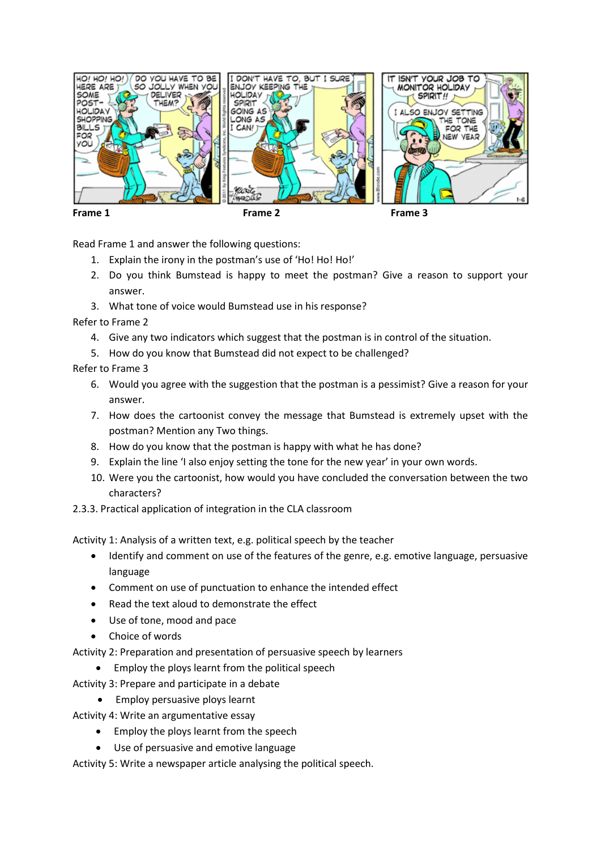

Read Frame 1 and answer the following questions:

- 1. Explain the irony in the postman's use of 'Ho! Ho! Ho!'
- 2. Do you think Bumstead is happy to meet the postman? Give a reason to support your answer.
- 3. What tone of voice would Bumstead use in his response?

Refer to Frame 2

- 4. Give any two indicators which suggest that the postman is in control of the situation.
- 5. How do you know that Bumstead did not expect to be challenged?

Refer to Frame 3

- 6. Would you agree with the suggestion that the postman is a pessimist? Give a reason for your answer.
- 7. How does the cartoonist convey the message that Bumstead is extremely upset with the postman? Mention any Two things.
- 8. How do you know that the postman is happy with what he has done?
- 9. Explain the line 'I also enjoy setting the tone for the new year' in your own words.
- 10. Were you the cartoonist, how would you have concluded the conversation between the two characters?
- 2.3.3. Practical application of integration in the CLA classroom

Activity 1: Analysis of a written text, e.g. political speech by the teacher

- Identify and comment on use of the features of the genre, e.g. emotive language, persuasive language
- Comment on use of punctuation to enhance the intended effect
- Read the text aloud to demonstrate the effect
- Use of tone, mood and pace
- Choice of words

Activity 2: Preparation and presentation of persuasive speech by learners

- Employ the ploys learnt from the political speech
- Activity 3: Prepare and participate in a debate
	- Employ persuasive ploys learnt

Activity 4: Write an argumentative essay

- Employ the ploys learnt from the speech
- Use of persuasive and emotive language

Activity 5: Write a newspaper article analysing the political speech.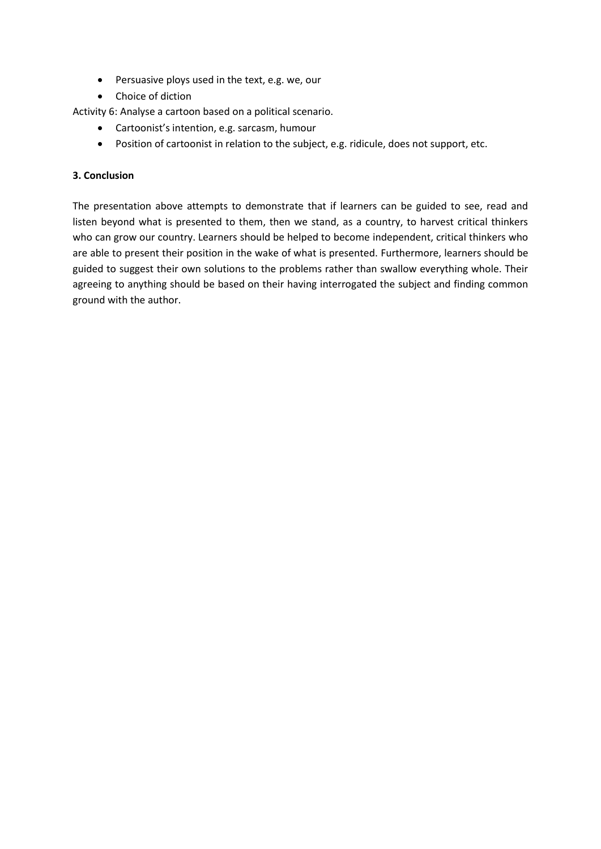- Persuasive ploys used in the text, e.g. we, our
- Choice of diction

Activity 6: Analyse a cartoon based on a political scenario.

- Cartoonist's intention, e.g. sarcasm, humour
- Position of cartoonist in relation to the subject, e.g. ridicule, does not support, etc.

### **3. Conclusion**

The presentation above attempts to demonstrate that if learners can be guided to see, read and listen beyond what is presented to them, then we stand, as a country, to harvest critical thinkers who can grow our country. Learners should be helped to become independent, critical thinkers who are able to present their position in the wake of what is presented. Furthermore, learners should be guided to suggest their own solutions to the problems rather than swallow everything whole. Their agreeing to anything should be based on their having interrogated the subject and finding common ground with the author.